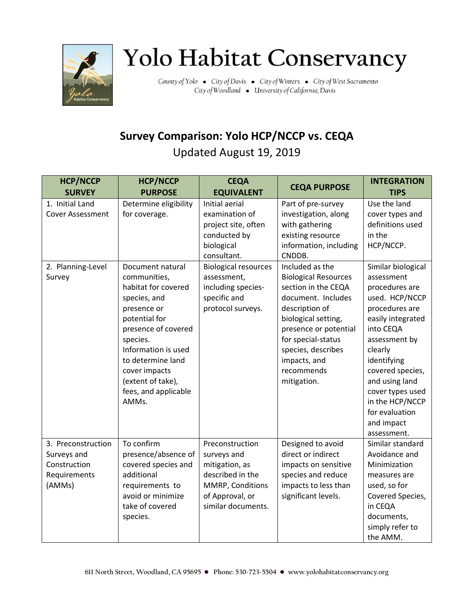

## Yolo Habitat Conservancy

County of Yolo . City of Davis . City of Winters . City of West Sacramento City of Woodland . University of California, Davis

## **Survey Comparison: Yolo HCP/NCCP vs. CEQA** Updated August 19, 2019

| <b>HCP/NCCP</b>                                                                            | <b>HCP/NCCP</b>                                                                                                                                                                                                                                                                                                           | <b>CEQA</b>                                                                                                                                                                                                                        | <b>CEQA PURPOSE</b>                                                                                                                                                                                                                                                                                                                                                             | <b>INTEGRATION</b>                                                                                                                                                                                                                                                                                                                                                            |
|--------------------------------------------------------------------------------------------|---------------------------------------------------------------------------------------------------------------------------------------------------------------------------------------------------------------------------------------------------------------------------------------------------------------------------|------------------------------------------------------------------------------------------------------------------------------------------------------------------------------------------------------------------------------------|---------------------------------------------------------------------------------------------------------------------------------------------------------------------------------------------------------------------------------------------------------------------------------------------------------------------------------------------------------------------------------|-------------------------------------------------------------------------------------------------------------------------------------------------------------------------------------------------------------------------------------------------------------------------------------------------------------------------------------------------------------------------------|
| <b>SURVEY</b><br>1. Initial Land<br><b>Cover Assessment</b><br>2. Planning-Level<br>Survey | <b>PURPOSE</b><br>Determine eligibility<br>for coverage.<br>Document natural<br>communities,<br>habitat for covered<br>species, and<br>presence or<br>potential for<br>presence of covered<br>species.<br>Information is used<br>to determine land<br>cover impacts<br>(extent of take),<br>fees, and applicable<br>AMMs. | <b>EQUIVALENT</b><br>Initial aerial<br>examination of<br>project site, often<br>conducted by<br>biological<br>consultant.<br><b>Biological resources</b><br>assessment,<br>including species-<br>specific and<br>protocol surveys. | Part of pre-survey<br>investigation, along<br>with gathering<br>existing resource<br>information, including<br>CNDDB.<br>Included as the<br><b>Biological Resources</b><br>section in the CEQA<br>document. Includes<br>description of<br>biological setting,<br>presence or potential<br>for special-status<br>species, describes<br>impacts, and<br>recommends<br>mitigation. | <b>TIPS</b><br>Use the land<br>cover types and<br>definitions used<br>in the<br>HCP/NCCP.<br>Similar biological<br>assessment<br>procedures are<br>used. HCP/NCCP<br>procedures are<br>easily integrated<br>into CEQA<br>assessment by<br>clearly<br>identifying<br>covered species,<br>and using land<br>cover types used<br>in the HCP/NCCP<br>for evaluation<br>and impact |
| 3. Preconstruction<br>Surveys and<br>Construction<br>Requirements<br>(AMMs)                | To confirm<br>presence/absence of<br>covered species and<br>additional<br>requirements to<br>avoid or minimize<br>take of covered<br>species.                                                                                                                                                                             | Preconstruction<br>surveys and<br>mitigation, as<br>described in the<br>MMRP, Conditions<br>of Approval, or<br>similar documents.                                                                                                  | Designed to avoid<br>direct or indirect<br>impacts on sensitive<br>species and reduce<br>impacts to less than<br>significant levels.                                                                                                                                                                                                                                            | assessment.<br>Similar standard<br>Avoidance and<br>Minimization<br>measures are<br>used, so for<br>Covered Species,<br>in CEQA<br>documents,<br>simply refer to<br>the AMM.                                                                                                                                                                                                  |